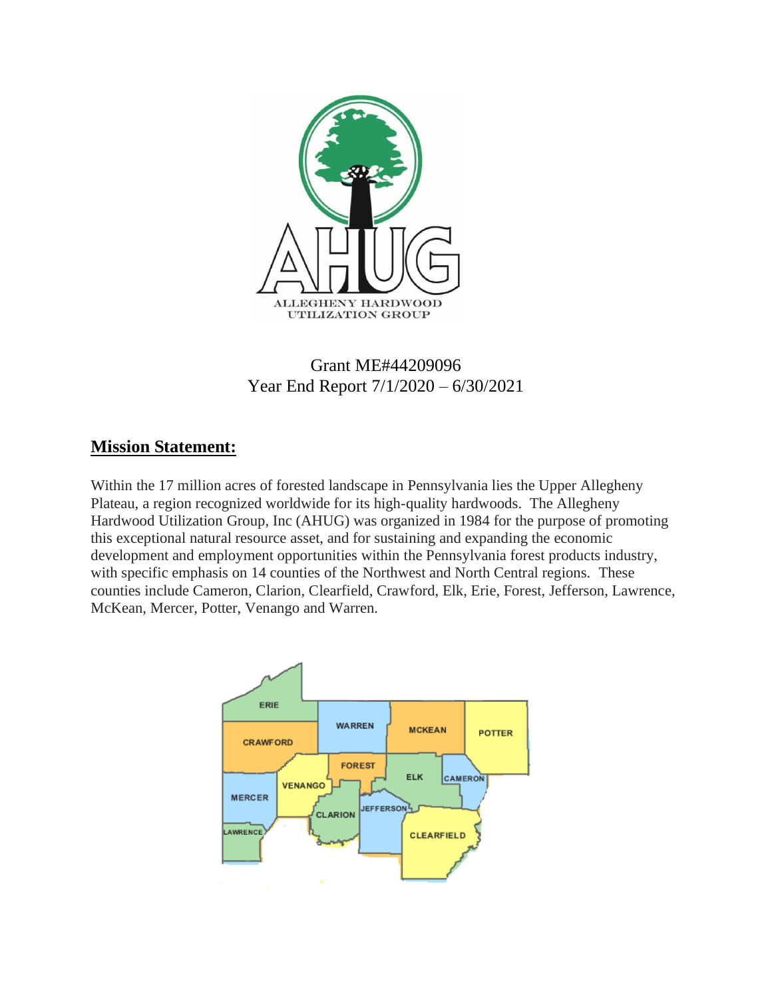

# Grant ME#44209096 Year End Report 7/1/2020 – 6/30/2021

## **Mission Statement:**

Within the 17 million acres of forested landscape in Pennsylvania lies the Upper Allegheny Plateau, a region recognized worldwide for its high-quality hardwoods. The Allegheny Hardwood Utilization Group, Inc (AHUG) was organized in 1984 for the purpose of promoting this exceptional natural resource asset, and for sustaining and expanding the economic development and employment opportunities within the Pennsylvania forest products industry, with specific emphasis on 14 counties of the Northwest and North Central regions. These counties include Cameron, Clarion, Clearfield, Crawford, Elk, Erie, Forest, Jefferson, Lawrence, McKean, Mercer, Potter, Venango and Warren.

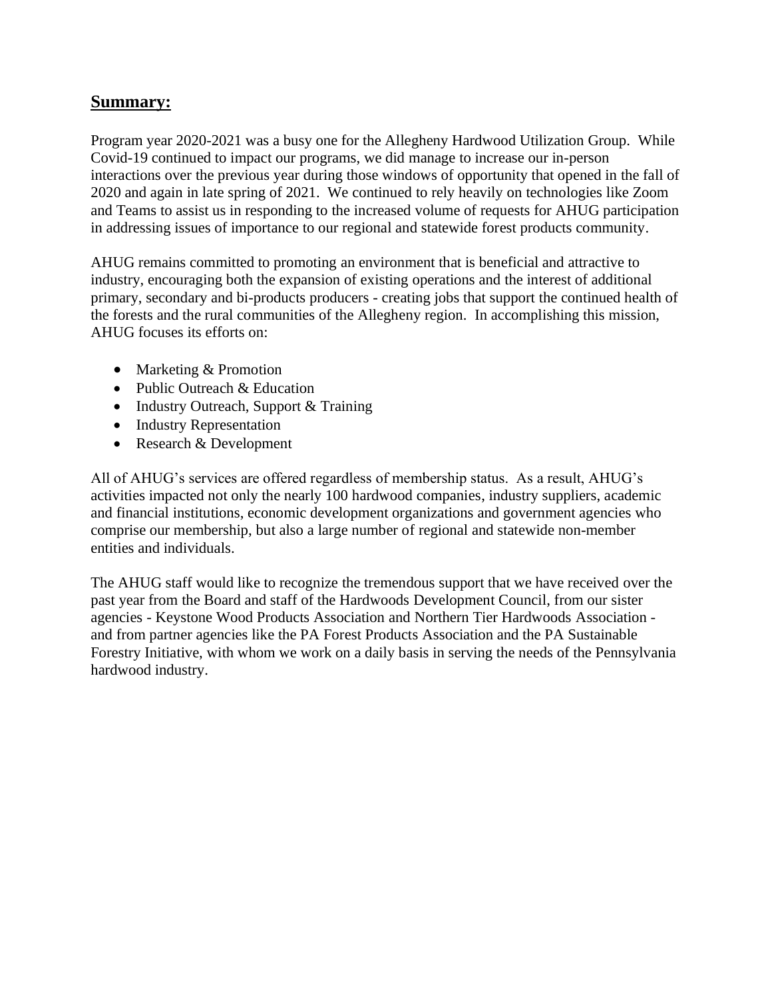#### **Summary:**

Program year 2020-2021 was a busy one for the Allegheny Hardwood Utilization Group. While Covid-19 continued to impact our programs, we did manage to increase our in-person interactions over the previous year during those windows of opportunity that opened in the fall of 2020 and again in late spring of 2021. We continued to rely heavily on technologies like Zoom and Teams to assist us in responding to the increased volume of requests for AHUG participation in addressing issues of importance to our regional and statewide forest products community.

AHUG remains committed to promoting an environment that is beneficial and attractive to industry, encouraging both the expansion of existing operations and the interest of additional primary, secondary and bi-products producers - creating jobs that support the continued health of the forests and the rural communities of the Allegheny region. In accomplishing this mission, AHUG focuses its efforts on:

- Marketing & Promotion
- Public Outreach & Education
- Industry Outreach, Support & Training
- Industry Representation
- Research & Development

All of AHUG's services are offered regardless of membership status. As a result, AHUG's activities impacted not only the nearly 100 hardwood companies, industry suppliers, academic and financial institutions, economic development organizations and government agencies who comprise our membership, but also a large number of regional and statewide non-member entities and individuals.

The AHUG staff would like to recognize the tremendous support that we have received over the past year from the Board and staff of the Hardwoods Development Council, from our sister agencies - Keystone Wood Products Association and Northern Tier Hardwoods Association and from partner agencies like the PA Forest Products Association and the PA Sustainable Forestry Initiative, with whom we work on a daily basis in serving the needs of the Pennsylvania hardwood industry.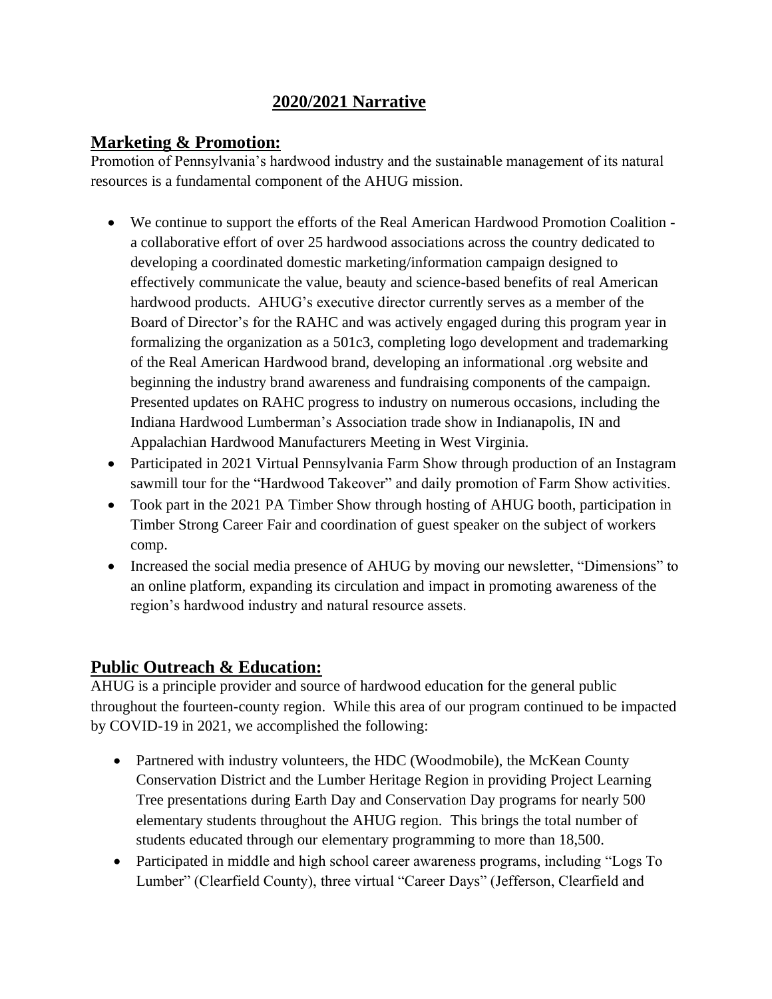## **2020/2021 Narrative**

### **Marketing & Promotion:**

Promotion of Pennsylvania's hardwood industry and the sustainable management of its natural resources is a fundamental component of the AHUG mission.

- We continue to support the efforts of the Real American Hardwood Promotion Coalition a collaborative effort of over 25 hardwood associations across the country dedicated to developing a coordinated domestic marketing/information campaign designed to effectively communicate the value, beauty and science-based benefits of real American hardwood products. AHUG's executive director currently serves as a member of the Board of Director's for the RAHC and was actively engaged during this program year in formalizing the organization as a 501c3, completing logo development and trademarking of the Real American Hardwood brand, developing an informational .org website and beginning the industry brand awareness and fundraising components of the campaign. Presented updates on RAHC progress to industry on numerous occasions, including the Indiana Hardwood Lumberman's Association trade show in Indianapolis, IN and Appalachian Hardwood Manufacturers Meeting in West Virginia.
- Participated in 2021 Virtual Pennsylvania Farm Show through production of an Instagram sawmill tour for the "Hardwood Takeover" and daily promotion of Farm Show activities.
- Took part in the 2021 PA Timber Show through hosting of AHUG booth, participation in Timber Strong Career Fair and coordination of guest speaker on the subject of workers comp.
- Increased the social media presence of AHUG by moving our newsletter, "Dimensions" to an online platform, expanding its circulation and impact in promoting awareness of the region's hardwood industry and natural resource assets.

### **Public Outreach & Education:**

AHUG is a principle provider and source of hardwood education for the general public throughout the fourteen-county region. While this area of our program continued to be impacted by COVID-19 in 2021, we accomplished the following:

- Partnered with industry volunteers, the HDC (Woodmobile), the McKean County Conservation District and the Lumber Heritage Region in providing Project Learning Tree presentations during Earth Day and Conservation Day programs for nearly 500 elementary students throughout the AHUG region. This brings the total number of students educated through our elementary programming to more than 18,500.
- Participated in middle and high school career awareness programs, including "Logs To Lumber" (Clearfield County), three virtual "Career Days" (Jefferson, Clearfield and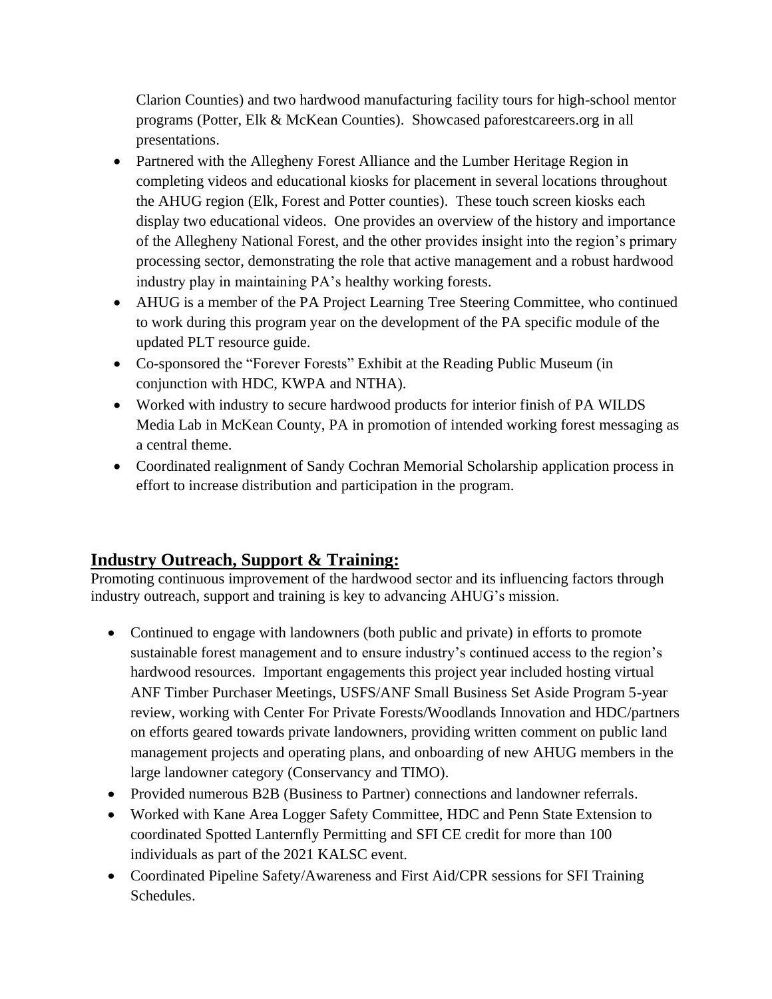Clarion Counties) and two hardwood manufacturing facility tours for high-school mentor programs (Potter, Elk & McKean Counties). Showcased paforestcareers.org in all presentations.

- Partnered with the Allegheny Forest Alliance and the Lumber Heritage Region in completing videos and educational kiosks for placement in several locations throughout the AHUG region (Elk, Forest and Potter counties). These touch screen kiosks each display two educational videos. One provides an overview of the history and importance of the Allegheny National Forest, and the other provides insight into the region's primary processing sector, demonstrating the role that active management and a robust hardwood industry play in maintaining PA's healthy working forests.
- AHUG is a member of the PA Project Learning Tree Steering Committee, who continued to work during this program year on the development of the PA specific module of the updated PLT resource guide.
- Co-sponsored the "Forever Forests" Exhibit at the Reading Public Museum (in conjunction with HDC, KWPA and NTHA).
- Worked with industry to secure hardwood products for interior finish of PA WILDS Media Lab in McKean County, PA in promotion of intended working forest messaging as a central theme.
- Coordinated realignment of Sandy Cochran Memorial Scholarship application process in effort to increase distribution and participation in the program.

# **Industry Outreach, Support & Training:**

Promoting continuous improvement of the hardwood sector and its influencing factors through industry outreach, support and training is key to advancing AHUG's mission.

- Continued to engage with landowners (both public and private) in efforts to promote sustainable forest management and to ensure industry's continued access to the region's hardwood resources. Important engagements this project year included hosting virtual ANF Timber Purchaser Meetings, USFS/ANF Small Business Set Aside Program 5-year review, working with Center For Private Forests/Woodlands Innovation and HDC/partners on efforts geared towards private landowners, providing written comment on public land management projects and operating plans, and onboarding of new AHUG members in the large landowner category (Conservancy and TIMO).
- Provided numerous B2B (Business to Partner) connections and landowner referrals.
- Worked with Kane Area Logger Safety Committee, HDC and Penn State Extension to coordinated Spotted Lanternfly Permitting and SFI CE credit for more than 100 individuals as part of the 2021 KALSC event.
- Coordinated Pipeline Safety/Awareness and First Aid/CPR sessions for SFI Training Schedules.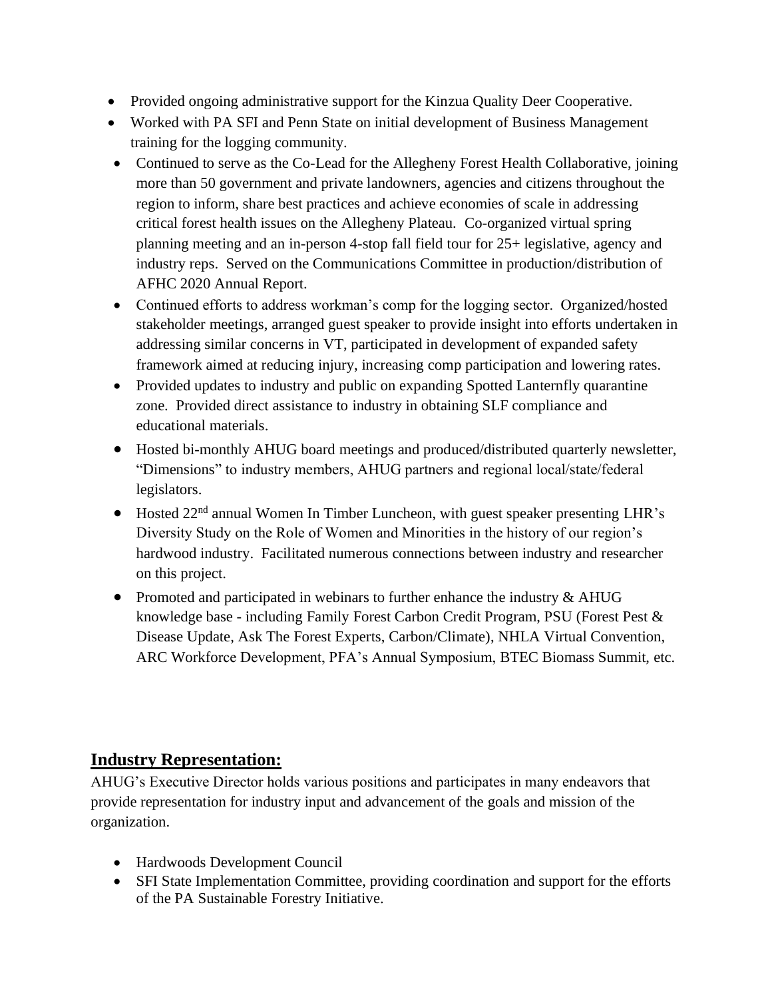- Provided ongoing administrative support for the Kinzua Quality Deer Cooperative.
- Worked with PA SFI and Penn State on initial development of Business Management training for the logging community.
- Continued to serve as the Co-Lead for the Allegheny Forest Health Collaborative, joining more than 50 government and private landowners, agencies and citizens throughout the region to inform, share best practices and achieve economies of scale in addressing critical forest health issues on the Allegheny Plateau. Co-organized virtual spring planning meeting and an in-person 4-stop fall field tour for 25+ legislative, agency and industry reps. Served on the Communications Committee in production/distribution of AFHC 2020 Annual Report.
- Continued efforts to address workman's comp for the logging sector. Organized/hosted stakeholder meetings, arranged guest speaker to provide insight into efforts undertaken in addressing similar concerns in VT, participated in development of expanded safety framework aimed at reducing injury, increasing comp participation and lowering rates.
- Provided updates to industry and public on expanding Spotted Lanternfly quarantine zone. Provided direct assistance to industry in obtaining SLF compliance and educational materials.
- Hosted bi-monthly AHUG board meetings and produced/distributed quarterly newsletter, "Dimensions" to industry members, AHUG partners and regional local/state/federal legislators.
- Hosted 22nd annual Women In Timber Luncheon, with guest speaker presenting LHR's Diversity Study on the Role of Women and Minorities in the history of our region's hardwood industry. Facilitated numerous connections between industry and researcher on this project.
- Promoted and participated in webinars to further enhance the industry & AHUG knowledge base - including Family Forest Carbon Credit Program, PSU (Forest Pest & Disease Update, Ask The Forest Experts, Carbon/Climate), NHLA Virtual Convention, ARC Workforce Development, PFA's Annual Symposium, BTEC Biomass Summit, etc.

### **Industry Representation:**

AHUG's Executive Director holds various positions and participates in many endeavors that provide representation for industry input and advancement of the goals and mission of the organization.

- Hardwoods Development Council
- SFI State Implementation Committee, providing coordination and support for the efforts of the PA Sustainable Forestry Initiative.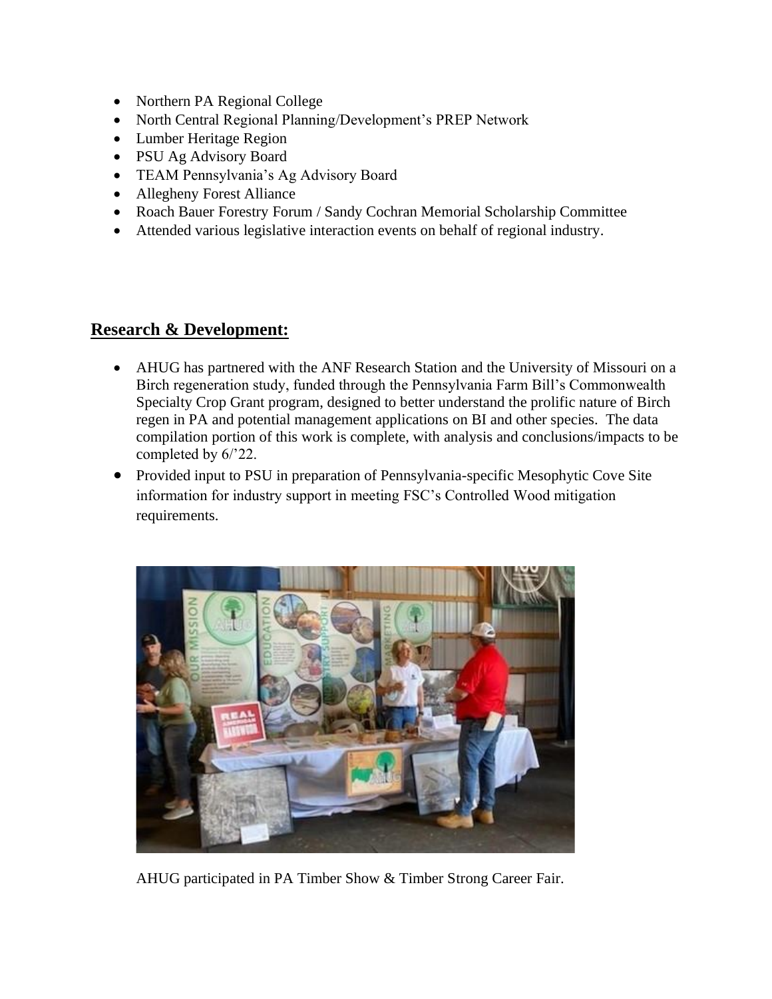- Northern PA Regional College
- North Central Regional Planning/Development's PREP Network
- Lumber Heritage Region
- PSU Ag Advisory Board
- TEAM Pennsylvania's Ag Advisory Board
- Allegheny Forest Alliance
- Roach Bauer Forestry Forum / Sandy Cochran Memorial Scholarship Committee
- Attended various legislative interaction events on behalf of regional industry.

#### **Research & Development:**

- AHUG has partnered with the ANF Research Station and the University of Missouri on a Birch regeneration study, funded through the Pennsylvania Farm Bill's Commonwealth Specialty Crop Grant program, designed to better understand the prolific nature of Birch regen in PA and potential management applications on BI and other species. The data compilation portion of this work is complete, with analysis and conclusions/impacts to be completed by 6/'22.
- Provided input to PSU in preparation of Pennsylvania-specific Mesophytic Cove Site information for industry support in meeting FSC's Controlled Wood mitigation requirements.



AHUG participated in PA Timber Show & Timber Strong Career Fair.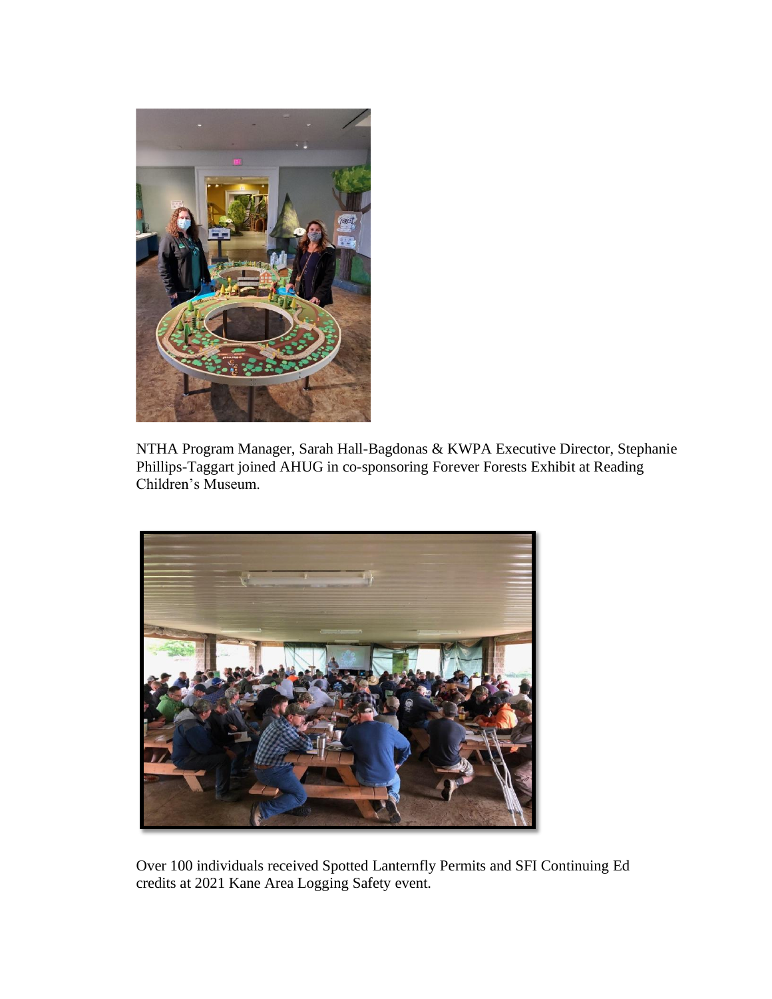

NTHA Program Manager, Sarah Hall-Bagdonas & KWPA Executive Director, Stephanie Phillips-Taggart joined AHUG in co-sponsoring Forever Forests Exhibit at Reading Children's Museum.



Over 100 individuals received Spotted Lanternfly Permits and SFI Continuing Ed credits at 2021 Kane Area Logging Safety event.